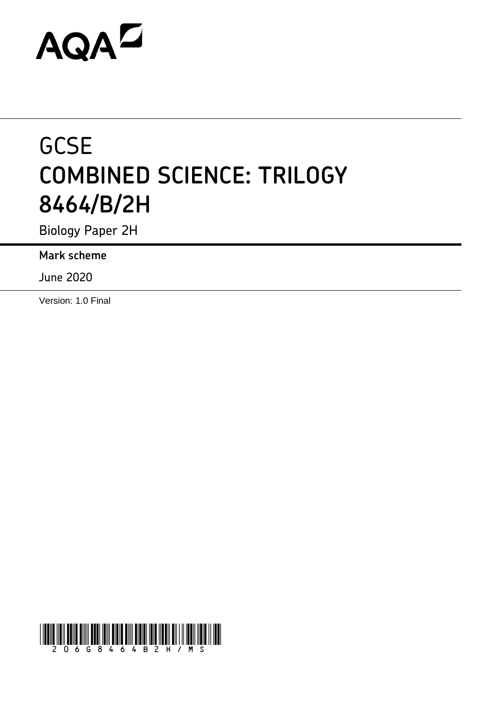# **AQAZ**

# **GCSE COMBINED SCIENCE: TRILOGY 8464/B/2H**

Biology Paper 2H

**Mark scheme**

June 2020

Version: 1.0 Final

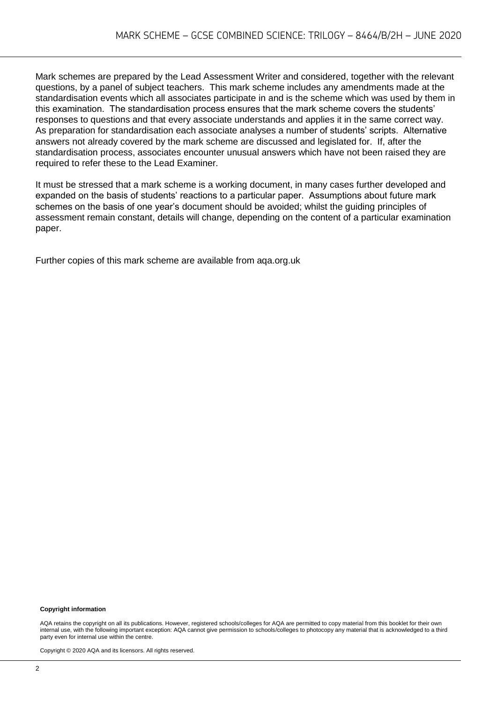Mark schemes are prepared by the Lead Assessment Writer and considered, together with the relevant questions, by a panel of subject teachers. This mark scheme includes any amendments made at the standardisation events which all associates participate in and is the scheme which was used by them in this examination. The standardisation process ensures that the mark scheme covers the students' responses to questions and that every associate understands and applies it in the same correct way. As preparation for standardisation each associate analyses a number of students' scripts. Alternative answers not already covered by the mark scheme are discussed and legislated for. If, after the standardisation process, associates encounter unusual answers which have not been raised they are required to refer these to the Lead Examiner.

It must be stressed that a mark scheme is a working document, in many cases further developed and expanded on the basis of students' reactions to a particular paper. Assumptions about future mark schemes on the basis of one year's document should be avoided; whilst the guiding principles of assessment remain constant, details will change, depending on the content of a particular examination paper.

Further copies of this mark scheme are available from aqa.org.uk

#### **Copyright information**

AQA retains the copyright on all its publications. However, registered schools/colleges for AQA are permitted to copy material from this booklet for their own internal use, with the following important exception: AQA cannot give permission to schools/colleges to photocopy any material that is acknowledged to a third party even for internal use within the centre.

Copyright © 2020 AQA and its licensors. All rights reserved.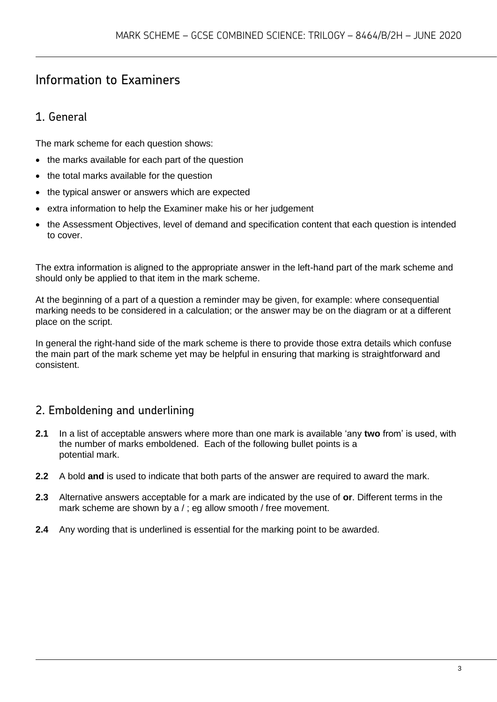# Information to Examiners

# 1. General

The mark scheme for each question shows:

- the marks available for each part of the question
- the total marks available for the question
- the typical answer or answers which are expected
- extra information to help the Examiner make his or her judgement
- the Assessment Objectives, level of demand and specification content that each question is intended to cover.

The extra information is aligned to the appropriate answer in the left-hand part of the mark scheme and should only be applied to that item in the mark scheme.

At the beginning of a part of a question a reminder may be given, for example: where consequential marking needs to be considered in a calculation; or the answer may be on the diagram or at a different place on the script.

In general the right-hand side of the mark scheme is there to provide those extra details which confuse the main part of the mark scheme yet may be helpful in ensuring that marking is straightforward and consistent.

## 2. Emboldening and underlining

- **2.1** In a list of acceptable answers where more than one mark is available 'any **two** from' is used, with the number of marks emboldened. Each of the following bullet points is a potential mark.
- **2.2** A bold **and** is used to indicate that both parts of the answer are required to award the mark.
- **2.3** Alternative answers acceptable for a mark are indicated by the use of **or**. Different terms in the mark scheme are shown by a / ; eg allow smooth / free movement.
- **2.4** Any wording that is underlined is essential for the marking point to be awarded.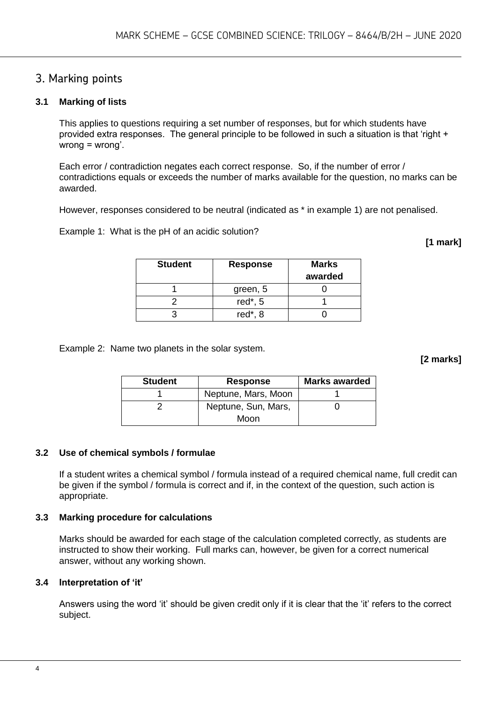### 3. Marking points

#### **3.1 Marking of lists**

This applies to questions requiring a set number of responses, but for which students have provided extra responses. The general principle to be followed in such a situation is that 'right + wrong = wrong'.

Each error / contradiction negates each correct response. So, if the number of error / contradictions equals or exceeds the number of marks available for the question, no marks can be awarded.

However, responses considered to be neutral (indicated as \* in example 1) are not penalised.

Example 1: What is the pH of an acidic solution?

**[1 mark]**

| <b>Student</b> | <b>Response</b> | <b>Marks</b><br>awarded |
|----------------|-----------------|-------------------------|
|                | green, 5        |                         |
|                | red $*$ , 5     |                         |
|                | red*, 8         |                         |

Example 2: Name two planets in the solar system.

**[2 marks]**

| <b>Student</b> | <b>Response</b>     | <b>Marks awarded</b> |  |  |
|----------------|---------------------|----------------------|--|--|
|                | Neptune, Mars, Moon |                      |  |  |
|                | Neptune, Sun, Mars, |                      |  |  |
|                | Moon                |                      |  |  |

#### **3.2 Use of chemical symbols / formulae**

If a student writes a chemical symbol / formula instead of a required chemical name, full credit can be given if the symbol / formula is correct and if, in the context of the question, such action is appropriate.

#### **3.3 Marking procedure for calculations**

Marks should be awarded for each stage of the calculation completed correctly, as students are instructed to show their working. Full marks can, however, be given for a correct numerical answer, without any working shown.

#### **3.4 Interpretation of 'it'**

Answers using the word 'it' should be given credit only if it is clear that the 'it' refers to the correct subject.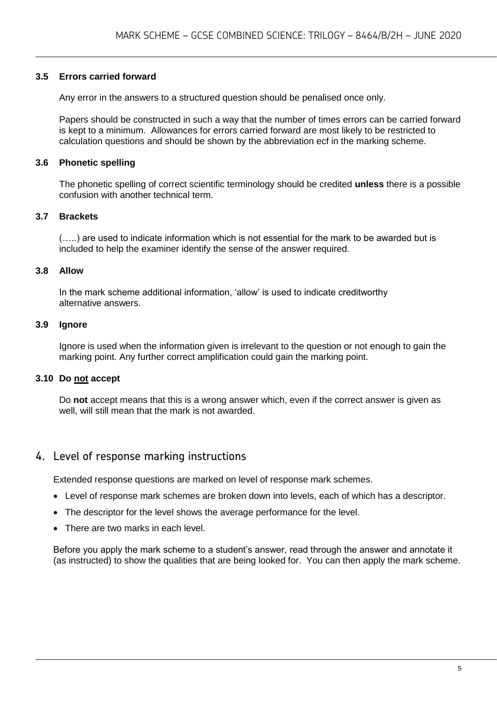#### **3.5 Errors carried forward**

Any error in the answers to a structured question should be penalised once only.

Papers should be constructed in such a way that the number of times errors can be carried forward is kept to a minimum. Allowances for errors carried forward are most likely to be restricted to calculation questions and should be shown by the abbreviation ecf in the marking scheme.

#### **3.6 Phonetic spelling**

The phonetic spelling of correct scientific terminology should be credited **unless** there is a possible confusion with another technical term.

#### **3.7 Brackets**

(…..) are used to indicate information which is not essential for the mark to be awarded but is included to help the examiner identify the sense of the answer required.

#### **3.8 Allow**

In the mark scheme additional information, 'allow' is used to indicate creditworthy alternative answers.

#### **3.9 Ignore**

Ignore is used when the information given is irrelevant to the question or not enough to gain the marking point. Any further correct amplification could gain the marking point.

#### **3.10 Do not accept**

Do **not** accept means that this is a wrong answer which, even if the correct answer is given as well, will still mean that the mark is not awarded.

#### 4. Level of response marking instructions

Extended response questions are marked on level of response mark schemes.

- Level of response mark schemes are broken down into levels, each of which has a descriptor.
- The descriptor for the level shows the average performance for the level.
- There are two marks in each level.

Before you apply the mark scheme to a student's answer, read through the answer and annotate it (as instructed) to show the qualities that are being looked for. You can then apply the mark scheme.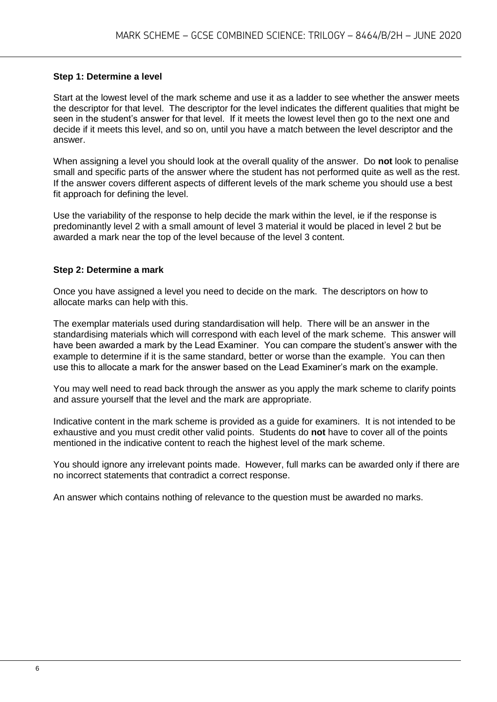#### **Step 1: Determine a level**

Start at the lowest level of the mark scheme and use it as a ladder to see whether the answer meets the descriptor for that level. The descriptor for the level indicates the different qualities that might be seen in the student's answer for that level. If it meets the lowest level then go to the next one and decide if it meets this level, and so on, until you have a match between the level descriptor and the answer.

When assigning a level you should look at the overall quality of the answer. Do **not** look to penalise small and specific parts of the answer where the student has not performed quite as well as the rest. If the answer covers different aspects of different levels of the mark scheme you should use a best fit approach for defining the level.

Use the variability of the response to help decide the mark within the level, ie if the response is predominantly level 2 with a small amount of level 3 material it would be placed in level 2 but be awarded a mark near the top of the level because of the level 3 content.

#### **Step 2: Determine a mark**

Once you have assigned a level you need to decide on the mark. The descriptors on how to allocate marks can help with this.

The exemplar materials used during standardisation will help. There will be an answer in the standardising materials which will correspond with each level of the mark scheme. This answer will have been awarded a mark by the Lead Examiner. You can compare the student's answer with the example to determine if it is the same standard, better or worse than the example. You can then use this to allocate a mark for the answer based on the Lead Examiner's mark on the example.

You may well need to read back through the answer as you apply the mark scheme to clarify points and assure yourself that the level and the mark are appropriate.

Indicative content in the mark scheme is provided as a guide for examiners. It is not intended to be exhaustive and you must credit other valid points. Students do **not** have to cover all of the points mentioned in the indicative content to reach the highest level of the mark scheme.

You should ignore any irrelevant points made. However, full marks can be awarded only if there are no incorrect statements that contradict a correct response.

An answer which contains nothing of relevance to the question must be awarded no marks.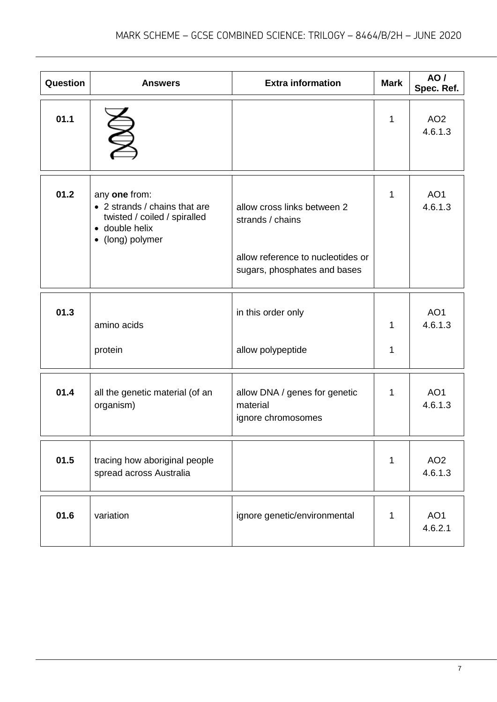| Question | <b>Answers</b>                                                                                                       | <b>Extra information</b>                                                                                             | <b>Mark</b>  | <b>AO</b> /<br>Spec. Ref.  |
|----------|----------------------------------------------------------------------------------------------------------------------|----------------------------------------------------------------------------------------------------------------------|--------------|----------------------------|
| 01.1     |                                                                                                                      |                                                                                                                      | 1            | AO <sub>2</sub><br>4.6.1.3 |
| 01.2     | any one from:<br>• 2 strands / chains that are<br>twisted / coiled / spiralled<br>• double helix<br>• (long) polymer | allow cross links between 2<br>strands / chains<br>allow reference to nucleotides or<br>sugars, phosphates and bases | 1            | AO <sub>1</sub><br>4.6.1.3 |
| 01.3     | amino acids<br>protein                                                                                               | in this order only<br>allow polypeptide                                                                              | 1<br>1       | AO <sub>1</sub><br>4.6.1.3 |
| 01.4     | all the genetic material (of an<br>organism)                                                                         | allow DNA / genes for genetic<br>material<br>ignore chromosomes                                                      | 1            | AO <sub>1</sub><br>4.6.1.3 |
| 01.5     | tracing how aboriginal people<br>spread across Australia                                                             |                                                                                                                      | $\mathbf{1}$ | AO <sub>2</sub><br>4.6.1.3 |
| 01.6     | variation                                                                                                            | ignore genetic/environmental                                                                                         | $\mathbf{1}$ | AO1<br>4.6.2.1             |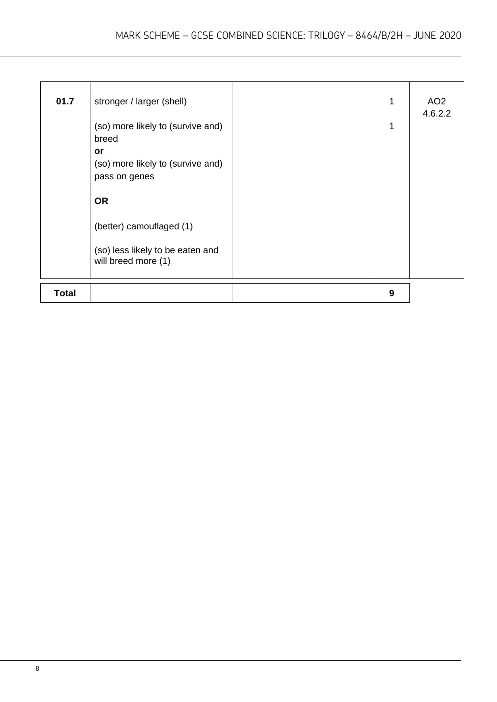| 01.7         | stronger / larger (shell)<br>(so) more likely to (survive and)<br>breed<br>or<br>(so) more likely to (survive and)<br>pass on genes<br><b>OR</b><br>(better) camouflaged (1)<br>(so) less likely to be eaten and<br>will breed more (1) | 1<br>1 | AO <sub>2</sub><br>4.6.2.2 |
|--------------|-----------------------------------------------------------------------------------------------------------------------------------------------------------------------------------------------------------------------------------------|--------|----------------------------|
| <b>Total</b> |                                                                                                                                                                                                                                         | 9      |                            |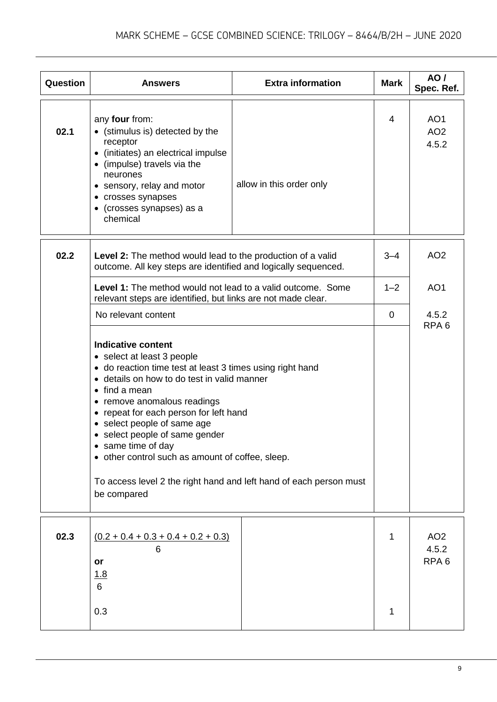| Question | <b>Answers</b>                                                                                                                                                                                                                                                                                                                                                                                                                                                                                        | <b>Extra information</b> | <b>Mark</b> | AO /<br>Spec. Ref.                           |
|----------|-------------------------------------------------------------------------------------------------------------------------------------------------------------------------------------------------------------------------------------------------------------------------------------------------------------------------------------------------------------------------------------------------------------------------------------------------------------------------------------------------------|--------------------------|-------------|----------------------------------------------|
| 02.1     | any four from:<br>(stimulus is) detected by the<br>receptor<br>• (initiates) an electrical impulse<br>• (impulse) travels via the<br>neurones<br>• sensory, relay and motor<br>• crosses synapses<br>• (crosses synapses) as a<br>chemical                                                                                                                                                                                                                                                            | allow in this order only | 4           | AO <sub>1</sub><br>AO <sub>2</sub><br>4.5.2  |
| 02.2     | Level 2: The method would lead to the production of a valid<br>outcome. All key steps are identified and logically sequenced.                                                                                                                                                                                                                                                                                                                                                                         |                          | $3 - 4$     | AO <sub>2</sub>                              |
|          | <b>Level 1:</b> The method would not lead to a valid outcome. Some<br>relevant steps are identified, but links are not made clear.                                                                                                                                                                                                                                                                                                                                                                    |                          | $1 - 2$     | AO <sub>1</sub>                              |
|          | No relevant content                                                                                                                                                                                                                                                                                                                                                                                                                                                                                   |                          | $\mathbf 0$ | 4.5.2<br>RPA <sub>6</sub>                    |
|          | <b>Indicative content</b><br>• select at least 3 people<br>• do reaction time test at least 3 times using right hand<br>• details on how to do test in valid manner<br>$\bullet$ find a mean<br>• remove anomalous readings<br>• repeat for each person for left hand<br>• select people of same age<br>• select people of same gender<br>• same time of day<br>• other control such as amount of coffee, sleep.<br>To access level 2 the right hand and left hand of each person must<br>be compared |                          |             |                                              |
| 02.3     | $\underline{(0.2 + 0.4 + 0.3 + 0.4 + 0.2 + 0.3)}$<br>or<br>1.8                                                                                                                                                                                                                                                                                                                                                                                                                                        |                          | 1           | AO <sub>2</sub><br>4.5.2<br>RPA <sub>6</sub> |
|          | 6<br>0.3                                                                                                                                                                                                                                                                                                                                                                                                                                                                                              |                          | 1           |                                              |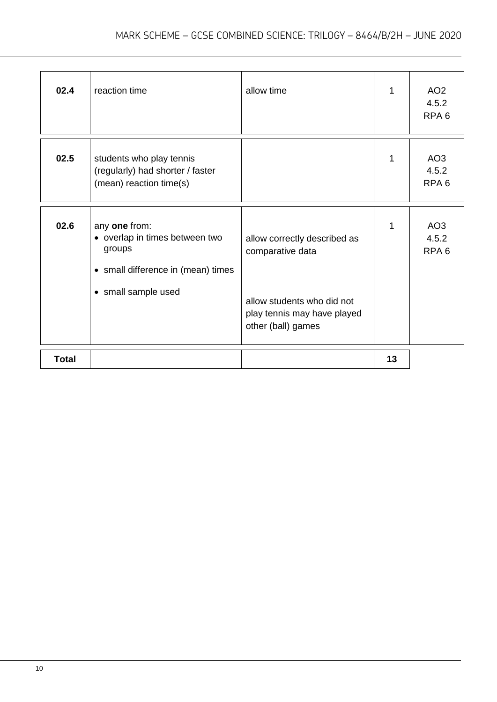| 02.4         | reaction time                                                                                                          | allow time                                                                                                                          | 1  | AO <sub>2</sub><br>4.5.2<br>RPA <sub>6</sub> |
|--------------|------------------------------------------------------------------------------------------------------------------------|-------------------------------------------------------------------------------------------------------------------------------------|----|----------------------------------------------|
| 02.5         | students who play tennis<br>(regularly) had shorter / faster<br>(mean) reaction time(s)                                |                                                                                                                                     | 1  | AO <sub>3</sub><br>4.5.2<br>RPA <sub>6</sub> |
| 02.6         | any one from:<br>• overlap in times between two<br>groups<br>• small difference in (mean) times<br>• small sample used | allow correctly described as<br>comparative data<br>allow students who did not<br>play tennis may have played<br>other (ball) games | 1  | AO <sub>3</sub><br>4.5.2<br>RPA <sub>6</sub> |
| <b>Total</b> |                                                                                                                        |                                                                                                                                     | 13 |                                              |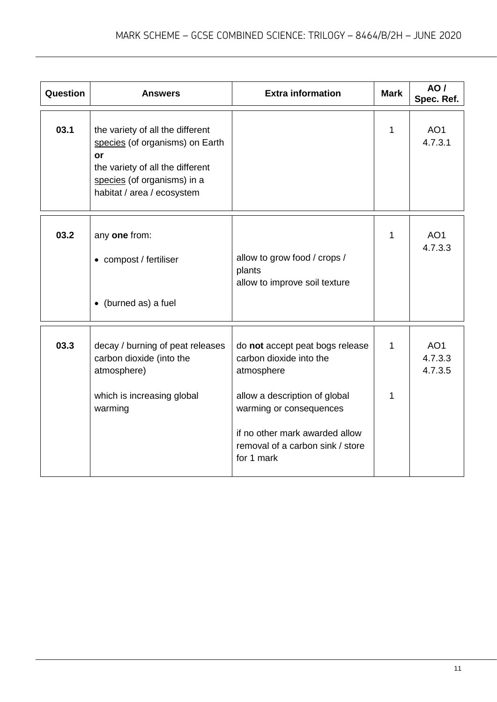| Question | <b>Answers</b>                                                                                                                                                             | <b>Extra information</b>                                                                                                                                                                                                 | <b>Mark</b>       | AO/<br>Spec. Ref.                     |
|----------|----------------------------------------------------------------------------------------------------------------------------------------------------------------------------|--------------------------------------------------------------------------------------------------------------------------------------------------------------------------------------------------------------------------|-------------------|---------------------------------------|
| 03.1     | the variety of all the different<br>species (of organisms) on Earth<br>or<br>the variety of all the different<br>species (of organisms) in a<br>habitat / area / ecosystem |                                                                                                                                                                                                                          | 1                 | AO <sub>1</sub><br>4.7.3.1            |
| 03.2     | any one from:<br>• compost / fertiliser<br>• (burned as) a fuel                                                                                                            | allow to grow food / crops /<br>plants<br>allow to improve soil texture                                                                                                                                                  | $\mathbf{1}$      | AO <sub>1</sub><br>4.7.3.3            |
| 03.3     | decay / burning of peat releases<br>carbon dioxide (into the<br>atmosphere)<br>which is increasing global<br>warming                                                       | do not accept peat bogs release<br>carbon dioxide into the<br>atmosphere<br>allow a description of global<br>warming or consequences<br>if no other mark awarded allow<br>removal of a carbon sink / store<br>for 1 mark | $\mathbf{1}$<br>1 | AO <sub>1</sub><br>4.7.3.3<br>4.7.3.5 |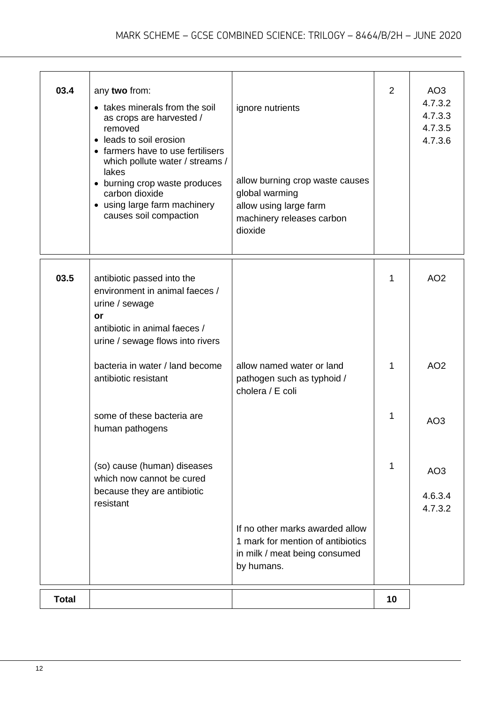| 03.4         | any two from:<br>• takes minerals from the soil<br>as crops are harvested /<br>removed<br>• leads to soil erosion<br>• farmers have to use fertilisers<br>which pollute water / streams /<br>lakes<br>• burning crop waste produces<br>carbon dioxide<br>• using large farm machinery<br>causes soil compaction | ignore nutrients<br>allow burning crop waste causes<br>global warming<br>allow using large farm<br>machinery releases carbon<br>dioxide | $\overline{2}$ | AO <sub>3</sub><br>4.7.3.2<br>4.7.3.3<br>4.7.3.5<br>4.7.3.6 |
|--------------|-----------------------------------------------------------------------------------------------------------------------------------------------------------------------------------------------------------------------------------------------------------------------------------------------------------------|-----------------------------------------------------------------------------------------------------------------------------------------|----------------|-------------------------------------------------------------|
| 03.5         | antibiotic passed into the<br>environment in animal faeces /<br>urine / sewage<br>or<br>antibiotic in animal faeces /<br>urine / sewage flows into rivers                                                                                                                                                       |                                                                                                                                         | 1              | AO <sub>2</sub>                                             |
|              | bacteria in water / land become<br>antibiotic resistant                                                                                                                                                                                                                                                         | allow named water or land<br>pathogen such as typhoid /<br>cholera / E coli                                                             | 1              | AO <sub>2</sub>                                             |
|              | some of these bacteria are<br>human pathogens                                                                                                                                                                                                                                                                   |                                                                                                                                         | 1              | AO <sub>3</sub>                                             |
|              | (so) cause (human) diseases<br>which now cannot be cured<br>because they are antibiotic<br>resistant                                                                                                                                                                                                            |                                                                                                                                         | 1              | AO <sub>3</sub><br>4.6.3.4<br>4.7.3.2                       |
|              |                                                                                                                                                                                                                                                                                                                 | If no other marks awarded allow<br>1 mark for mention of antibiotics<br>in milk / meat being consumed<br>by humans.                     |                |                                                             |
| <b>Total</b> |                                                                                                                                                                                                                                                                                                                 |                                                                                                                                         | 10             |                                                             |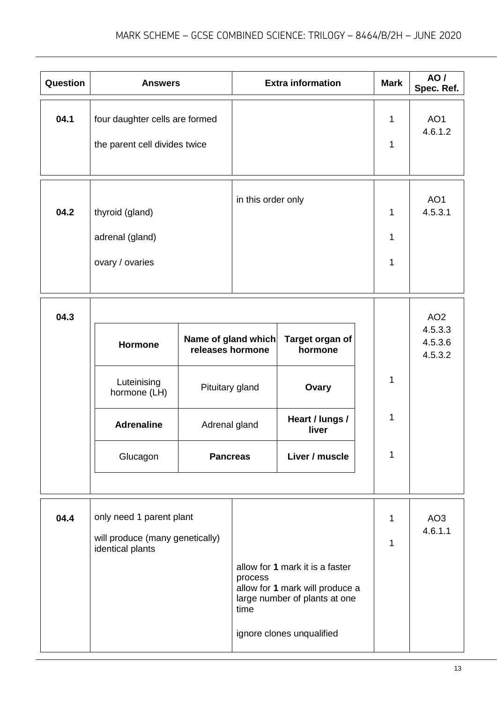| Question | <b>Answers</b>                                                                  |                                                                                                |                    | <b>Extra information</b>                                                                                                         | <b>Mark</b> | AO/<br>Spec. Ref.                                |
|----------|---------------------------------------------------------------------------------|------------------------------------------------------------------------------------------------|--------------------|----------------------------------------------------------------------------------------------------------------------------------|-------------|--------------------------------------------------|
| 04.1     | four daughter cells are formed<br>the parent cell divides twice                 |                                                                                                |                    |                                                                                                                                  | 1<br>1      | AO <sub>1</sub><br>4.6.1.2                       |
| 04.2     | thyroid (gland)<br>adrenal (gland)<br>ovary / ovaries                           |                                                                                                | in this order only |                                                                                                                                  | 1<br>1<br>1 | AO <sub>1</sub><br>4.5.3.1                       |
| 04.3     | <b>Hormone</b><br>Luteinising<br>hormone (LH)<br><b>Adrenaline</b><br>Glucagon  | Name of gland which<br>releases hormone<br>Pituitary gland<br>Adrenal gland<br><b>Pancreas</b> |                    | Target organ of<br>hormone<br>Ovary<br>Heart / lungs /<br>liver<br>Liver / muscle                                                | 1<br>1<br>1 | AO <sub>2</sub><br>4.5.3.3<br>4.5.3.6<br>4.5.3.2 |
| 04.4     | only need 1 parent plant<br>will produce (many genetically)<br>identical plants |                                                                                                | process<br>time    | allow for 1 mark it is a faster<br>allow for 1 mark will produce a<br>large number of plants at one<br>ignore clones unqualified | 1<br>1      | AO <sub>3</sub><br>4.6.1.1                       |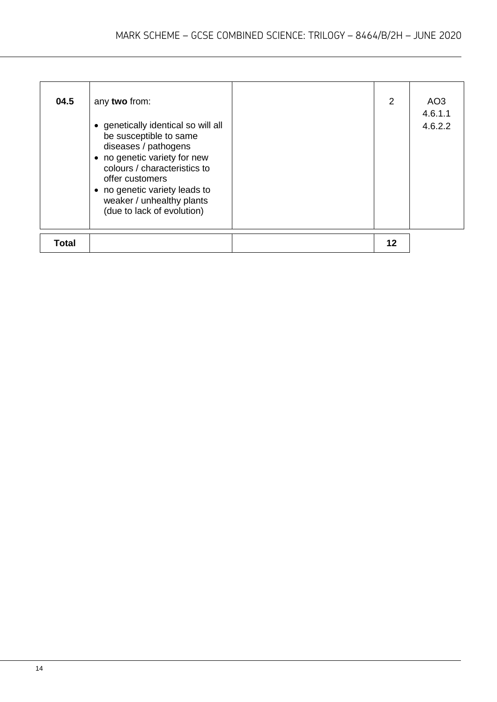| 04.5         | any two from:<br>• genetically identical so will all<br>be susceptible to same<br>diseases / pathogens<br>• no genetic variety for new<br>colours / characteristics to<br>offer customers<br>• no genetic variety leads to<br>weaker / unhealthy plants<br>(due to lack of evolution) | 2  | AO3<br>4.6.1.1<br>4.6.2.2 |
|--------------|---------------------------------------------------------------------------------------------------------------------------------------------------------------------------------------------------------------------------------------------------------------------------------------|----|---------------------------|
| <b>Total</b> |                                                                                                                                                                                                                                                                                       | 12 |                           |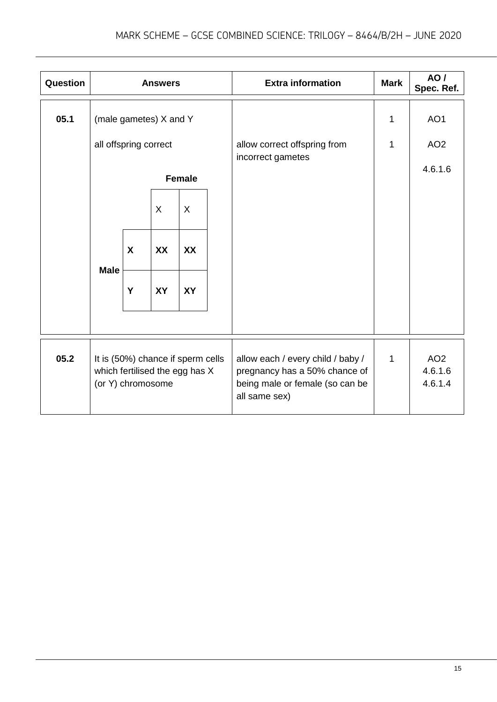| Question | <b>Answers</b>                                                                           |           |           |           |  | <b>Extra information</b>                                                                                               | <b>Mark</b>  | <b>AO</b> /<br>Spec. Ref.             |
|----------|------------------------------------------------------------------------------------------|-----------|-----------|-----------|--|------------------------------------------------------------------------------------------------------------------------|--------------|---------------------------------------|
| 05.1     | (male gametes) X and Y                                                                   |           |           |           |  |                                                                                                                        | $\mathbf{1}$ | AO1                                   |
|          | all offspring correct                                                                    |           |           |           |  | allow correct offspring from<br>incorrect gametes                                                                      | $\mathbf{1}$ | AO <sub>2</sub>                       |
|          | <b>Female</b>                                                                            |           |           |           |  |                                                                                                                        |              | 4.6.1.6                               |
|          |                                                                                          |           | $\sf X$   | X         |  |                                                                                                                        |              |                                       |
|          | X                                                                                        | <b>XX</b> | XX        |           |  |                                                                                                                        |              |                                       |
|          | <b>Male</b>                                                                              | Y         | <b>XY</b> | <b>XY</b> |  |                                                                                                                        |              |                                       |
|          |                                                                                          |           |           |           |  |                                                                                                                        |              |                                       |
| 05.2     | It is (50%) chance if sperm cells<br>which fertilised the egg has X<br>(or Y) chromosome |           |           |           |  | allow each / every child / baby /<br>pregnancy has a 50% chance of<br>being male or female (so can be<br>all same sex) | $\mathbf{1}$ | AO <sub>2</sub><br>4.6.1.6<br>4.6.1.4 |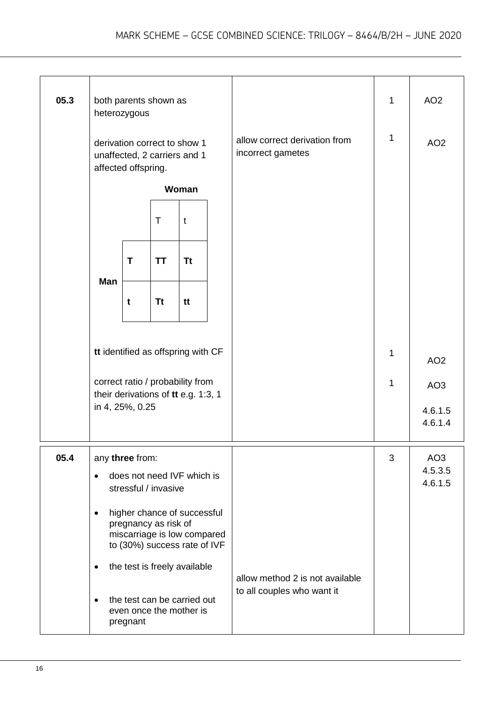| 05.3 | both parents shown as<br>heterozygous                                                                                           |   |                                 |           |  |                                                    | $\mathbf 1$  | AO <sub>2</sub>                       |
|------|---------------------------------------------------------------------------------------------------------------------------------|---|---------------------------------|-----------|--|----------------------------------------------------|--------------|---------------------------------------|
|      | derivation correct to show 1<br>unaffected, 2 carriers and 1<br>affected offspring.                                             |   |                                 |           |  | allow correct derivation from<br>incorrect gametes | $\mathbf{1}$ | AO <sub>2</sub>                       |
|      | Woman                                                                                                                           |   |                                 |           |  |                                                    |              |                                       |
|      | $\top$<br>t                                                                                                                     |   |                                 |           |  |                                                    |              |                                       |
|      | Man                                                                                                                             | T | <b>TT</b>                       | <b>Tt</b> |  |                                                    |              |                                       |
|      |                                                                                                                                 | t | <b>Tt</b>                       | tt        |  |                                                    |              |                                       |
|      | tt identified as offspring with CF                                                                                              |   |                                 |           |  |                                                    | 1            | AO <sub>2</sub>                       |
|      | correct ratio / probability from<br>their derivations of tt e.g. 1:3, 1                                                         |   |                                 |           |  |                                                    | 1            | AO <sub>3</sub>                       |
|      | in 4, 25%, 0.25                                                                                                                 |   |                                 |           |  |                                                    |              | 4.6.1.5<br>4.6.1.4                    |
| 05.4 | any three from:<br>does not need IVF which is<br>$\bullet$<br>stressful / invasive                                              |   |                                 |           |  |                                                    | 3            | AO <sub>3</sub><br>4.5.3.5<br>4.6.1.5 |
|      | higher chance of successful<br>$\bullet$<br>pregnancy as risk of<br>miscarriage is low compared<br>to (30%) success rate of IVF |   |                                 |           |  |                                                    |              |                                       |
|      | the test is freely available<br>٠                                                                                               |   | allow method 2 is not available |           |  |                                                    |              |                                       |
|      | the test can be carried out<br>$\bullet$<br>even once the mother is<br>pregnant                                                 |   |                                 |           |  | to all couples who want it                         |              |                                       |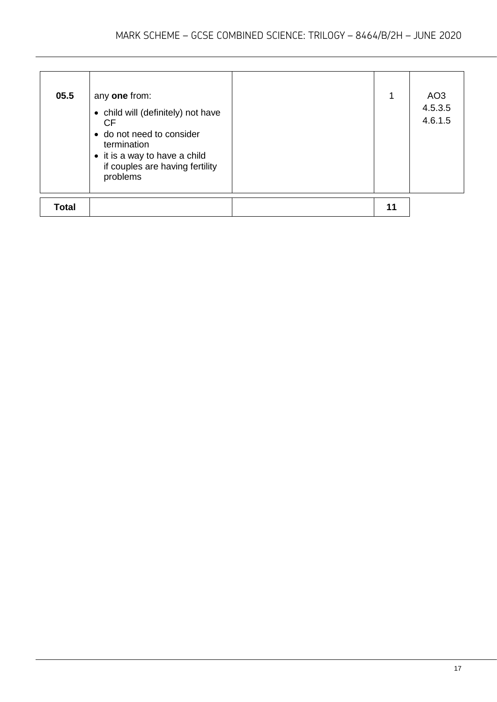| 05.5         | any one from:<br>• child will (definitely) not have<br><b>CF</b><br>• do not need to consider<br>termination<br>• it is a way to have a child<br>if couples are having fertility<br>problems | 1  | AO <sub>3</sub><br>4.5.3.5<br>4.6.1.5 |
|--------------|----------------------------------------------------------------------------------------------------------------------------------------------------------------------------------------------|----|---------------------------------------|
| <b>Total</b> |                                                                                                                                                                                              | 11 |                                       |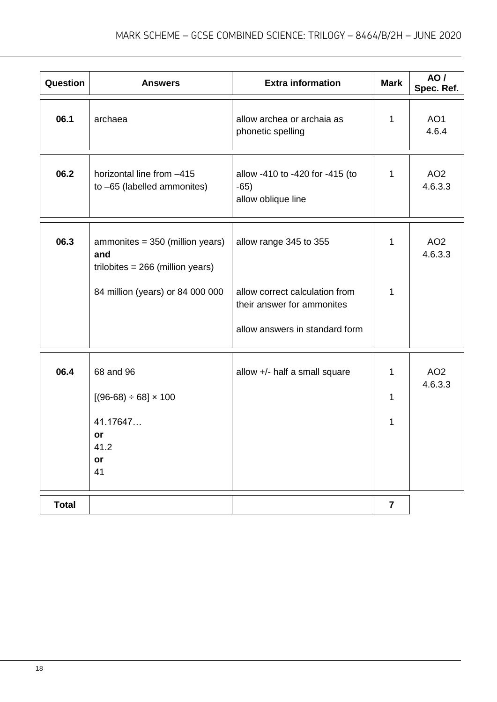| Question     | <b>Answers</b>                                                                    | <b>Extra information</b>                                                                       | <b>Mark</b>             | AO/<br>Spec. Ref.          |
|--------------|-----------------------------------------------------------------------------------|------------------------------------------------------------------------------------------------|-------------------------|----------------------------|
| 06.1         | archaea                                                                           | allow archea or archaia as<br>phonetic spelling                                                | 1                       | AO <sub>1</sub><br>4.6.4   |
| 06.2         | horizontal line from -415<br>to -65 (labelled ammonites)                          | allow -410 to -420 for -415 (to<br>$-65)$<br>allow oblique line                                | 1                       | AO <sub>2</sub><br>4.6.3.3 |
| 06.3         | ammonites = 350 (million years)<br>and<br>trilobites = $266$ (million years)      | allow range 345 to 355                                                                         | 1                       | AO <sub>2</sub><br>4.6.3.3 |
|              | 84 million (years) or 84 000 000                                                  | allow correct calculation from<br>their answer for ammonites<br>allow answers in standard form | 1                       |                            |
| 06.4         | 68 and 96<br>$[(96-68) \div 68] \times 100$<br>41.17647<br>or<br>41.2<br>or<br>41 | allow +/- half a small square                                                                  | 1<br>1<br>1             | AO <sub>2</sub><br>4.6.3.3 |
| <b>Total</b> |                                                                                   |                                                                                                | $\overline{\mathbf{7}}$ |                            |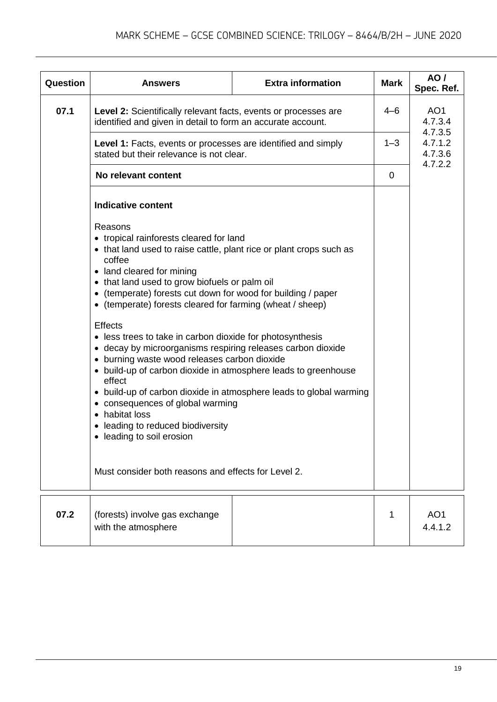| Question | <b>Answers</b>                                                                                                                                                                                                                                                                                                                                                                                                                                                                                                                                                                                                                                                                                                                                                                                                                                                                           | <b>Extra information</b> | <b>Mark</b> | AO/<br>Spec. Ref.                        |
|----------|------------------------------------------------------------------------------------------------------------------------------------------------------------------------------------------------------------------------------------------------------------------------------------------------------------------------------------------------------------------------------------------------------------------------------------------------------------------------------------------------------------------------------------------------------------------------------------------------------------------------------------------------------------------------------------------------------------------------------------------------------------------------------------------------------------------------------------------------------------------------------------------|--------------------------|-------------|------------------------------------------|
| 07.1     | Level 2: Scientifically relevant facts, events or processes are<br>identified and given in detail to form an accurate account.                                                                                                                                                                                                                                                                                                                                                                                                                                                                                                                                                                                                                                                                                                                                                           |                          |             | AO <sub>1</sub><br>4.7.3.4               |
|          | <b>Level 1:</b> Facts, events or processes are identified and simply<br>stated but their relevance is not clear.                                                                                                                                                                                                                                                                                                                                                                                                                                                                                                                                                                                                                                                                                                                                                                         |                          |             | 4.7.3.5<br>4.7.1.2<br>4.7.3.6<br>4.7.2.2 |
|          | No relevant content<br><b>Indicative content</b>                                                                                                                                                                                                                                                                                                                                                                                                                                                                                                                                                                                                                                                                                                                                                                                                                                         |                          |             |                                          |
|          |                                                                                                                                                                                                                                                                                                                                                                                                                                                                                                                                                                                                                                                                                                                                                                                                                                                                                          |                          |             |                                          |
|          | Reasons<br>• tropical rainforests cleared for land<br>• that land used to raise cattle, plant rice or plant crops such as<br>coffee<br>• land cleared for mining<br>• that land used to grow biofuels or palm oil<br>• (temperate) forests cut down for wood for building / paper<br>• (temperate) forests cleared for farming (wheat / sheep)<br><b>Effects</b><br>• less trees to take in carbon dioxide for photosynthesis<br>• decay by microorganisms respiring releases carbon dioxide<br>• burning waste wood releases carbon dioxide<br>• build-up of carbon dioxide in atmosphere leads to greenhouse<br>effect<br>build-up of carbon dioxide in atmosphere leads to global warming<br>$\bullet$<br>• consequences of global warming<br>• habitat loss<br>• leading to reduced biodiversity<br>• leading to soil erosion<br>Must consider both reasons and effects for Level 2. |                          |             |                                          |
|          |                                                                                                                                                                                                                                                                                                                                                                                                                                                                                                                                                                                                                                                                                                                                                                                                                                                                                          |                          |             |                                          |

| 07.2 | (forests) involve gas exchange |  | AO <sub>1</sub> |
|------|--------------------------------|--|-----------------|
|      | with the atmosphere            |  | 4.4.1.2         |